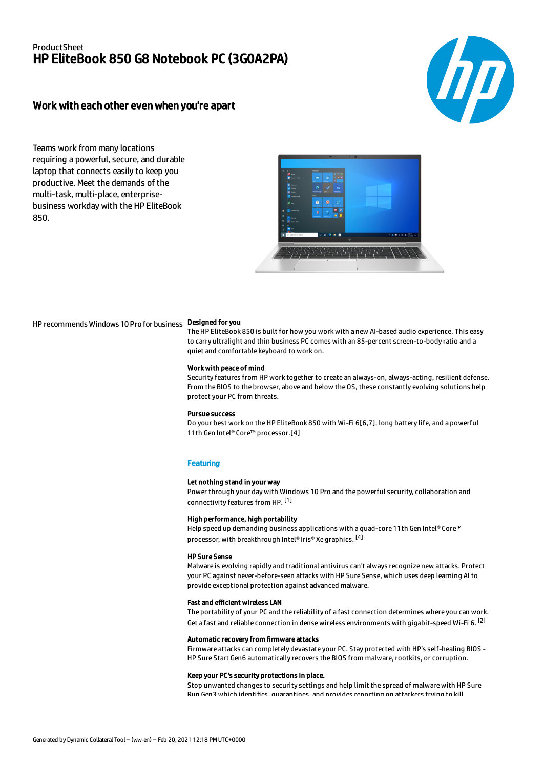# ProductSheet HP EliteBook 850 G8 Notebook PC (3G0A2PA)



# Work with each other even when you're apart

Teams work from many locations requiring a powerful, secure, and durable laptop that connects easily to keep you productive. Meet the demands of the multi-task, multi-place, enterprisebusiness workday with the HP EliteBook 850.



## HP recommends Windows 10 Pro for business Designed for you

The HP EliteBook 850 is built for how you work with a new AI-based audio experience. This easy to carry ultralight and thin business PC comes with an 85-percent screen-to-body ratio and a quiet and comfortable keyboard to work on.

#### Work with peace of mind

Security features from HP work together to create an always-on, always-acting, resilient defense. From the BIOS to the browser, above and below the OS, these constantly evolving solutions help protect your PC from threats.

#### Pursue success

Do your best work on the HP EliteBook 850 with Wi-Fi 6[6,7], long battery life, and a powerful 11th Gen Intel® Core™ processor.[4]

### **Featuring**

### Let nothing stand in your way

Power through your day with Windows 10 Pro and the powerful security, collaboration and connectivity features from HP. [1]

### High performance, high portability

Help speed up demanding business applications with a quad-core 11th Gen Intel® Core™ processor, with breakthrough Intel® Iris® Xe graphics. <sup>[4]</sup>

## HP Sure Sense

Malware is evolving rapidly and traditional antivirus can't always recognize new attacks. Protect your PC against never-before-seen attacks with HP Sure Sense, which uses deep learning AI to provide exceptional protection against advanced malware.

#### Fast and efficient wireless LAN

The portability of your PC and the reliability of a fast connection determines where you can work. Get a fast and reliable connection in dense wireless environments with gigabit-speed Wi-Fi 6.  $^{[\mathsf{2}]}$ 

#### Automatic recovery from firmware attacks

Firmware attacks can completely devastate your PC. Stay protected with HP's self-healing BIOS - HP Sure Start Gen6 automatically recovers the BIOS from malware, rootkits, or corruption.

#### Keep your PC's security protections in place.

Stop unwanted changes to security settings and help limit the spread of malware with HP Sure Run Gen3 which identifies quarantines and provides reporting on attackers trying to kill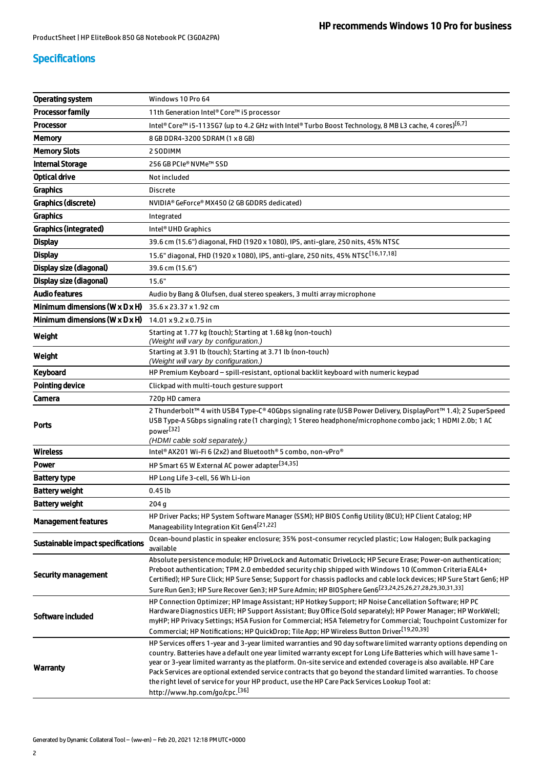# Specifications

| <b>Operating system</b>                      | Windows 10 Pro 64                                                                                                                                                                                                                                                                                                                                                                                                                                                                                                                                                                                                             |  |
|----------------------------------------------|-------------------------------------------------------------------------------------------------------------------------------------------------------------------------------------------------------------------------------------------------------------------------------------------------------------------------------------------------------------------------------------------------------------------------------------------------------------------------------------------------------------------------------------------------------------------------------------------------------------------------------|--|
| <b>Processor family</b>                      | 11th Generation Intel® Core™ i5 processor                                                                                                                                                                                                                                                                                                                                                                                                                                                                                                                                                                                     |  |
| <b>Processor</b>                             | Intel® Core™ i5-1135G7 (up to 4.2 GHz with Intel® Turbo Boost Technology, 8 MB L3 cache, 4 cores) <sup>[6,7]</sup>                                                                                                                                                                                                                                                                                                                                                                                                                                                                                                            |  |
| <b>Memory</b>                                | 8 GB DDR4-3200 SDRAM (1 x 8 GB)                                                                                                                                                                                                                                                                                                                                                                                                                                                                                                                                                                                               |  |
| <b>Memory Slots</b>                          | 2 SODIMM                                                                                                                                                                                                                                                                                                                                                                                                                                                                                                                                                                                                                      |  |
| <b>Internal Storage</b>                      | 256 GB PCIe® NVMe™ SSD                                                                                                                                                                                                                                                                                                                                                                                                                                                                                                                                                                                                        |  |
| Optical drive                                | Not included                                                                                                                                                                                                                                                                                                                                                                                                                                                                                                                                                                                                                  |  |
| <b>Graphics</b>                              | <b>Discrete</b>                                                                                                                                                                                                                                                                                                                                                                                                                                                                                                                                                                                                               |  |
| Graphics (discrete)                          | NVIDIA® GeForce® MX450 (2 GB GDDR5 dedicated)                                                                                                                                                                                                                                                                                                                                                                                                                                                                                                                                                                                 |  |
| <b>Graphics</b>                              | Integrated                                                                                                                                                                                                                                                                                                                                                                                                                                                                                                                                                                                                                    |  |
| <b>Graphics (integrated)</b>                 | Intel <sup>®</sup> UHD Graphics                                                                                                                                                                                                                                                                                                                                                                                                                                                                                                                                                                                               |  |
| <b>Display</b>                               | 39.6 cm (15.6") diagonal, FHD (1920 x 1080), IPS, anti-glare, 250 nits, 45% NTSC                                                                                                                                                                                                                                                                                                                                                                                                                                                                                                                                              |  |
| <b>Display</b>                               | 15.6" diagonal, FHD (1920 x 1080), IPS, anti-glare, 250 nits, 45% NTSC <sup>[16,17,18]</sup>                                                                                                                                                                                                                                                                                                                                                                                                                                                                                                                                  |  |
| Display size (diagonal)                      | 39.6 cm (15.6")                                                                                                                                                                                                                                                                                                                                                                                                                                                                                                                                                                                                               |  |
| Display size (diagonal)                      | 15.6"                                                                                                                                                                                                                                                                                                                                                                                                                                                                                                                                                                                                                         |  |
| <b>Audio features</b>                        | Audio by Bang & Olufsen, dual stereo speakers, 3 multi array microphone                                                                                                                                                                                                                                                                                                                                                                                                                                                                                                                                                       |  |
| Minimum dimensions ( $W \times D \times H$ ) | 35.6 x 23.37 x 1.92 cm                                                                                                                                                                                                                                                                                                                                                                                                                                                                                                                                                                                                        |  |
| Minimum dimensions (W x D x H)               | 14.01 x 9.2 x 0.75 in                                                                                                                                                                                                                                                                                                                                                                                                                                                                                                                                                                                                         |  |
| Weight                                       | Starting at 1.77 kg (touch); Starting at 1.68 kg (non-touch)<br>(Weight will vary by configuration.)                                                                                                                                                                                                                                                                                                                                                                                                                                                                                                                          |  |
| Weight                                       | Starting at 3.91 lb (touch); Starting at 3.71 lb (non-touch)<br>(Weight will vary by configuration.)                                                                                                                                                                                                                                                                                                                                                                                                                                                                                                                          |  |
| Keyboard                                     | HP Premium Keyboard - spill-resistant, optional backlit keyboard with numeric keypad                                                                                                                                                                                                                                                                                                                                                                                                                                                                                                                                          |  |
| <b>Pointing device</b>                       | Clickpad with multi-touch gesture support                                                                                                                                                                                                                                                                                                                                                                                                                                                                                                                                                                                     |  |
| Camera                                       | 720p HD camera                                                                                                                                                                                                                                                                                                                                                                                                                                                                                                                                                                                                                |  |
| Ports                                        | 2 Thunderbolt™ 4 with USB4 Type-C® 40Gbps signaling rate (USB Power Delivery, DisplayPort™ 1.4); 2 SuperSpeed<br>USB Type-A 5Gbps signaling rate (1 charging); 1 Stereo headphone/microphone combo jack; 1 HDMI 2.0b; 1 AC<br>power <sup>[32]</sup><br>(HDMI cable sold separately.)                                                                                                                                                                                                                                                                                                                                          |  |
| <b>Wireless</b>                              | Intel® AX201 Wi-Fi 6 (2x2) and Bluetooth® 5 combo, non-vPro®                                                                                                                                                                                                                                                                                                                                                                                                                                                                                                                                                                  |  |
| <b>Power</b>                                 | HP Smart 65 W External AC power adapter <sup>[34,35]</sup>                                                                                                                                                                                                                                                                                                                                                                                                                                                                                                                                                                    |  |
| Battery type                                 | HP Long Life 3-cell, 56 Wh Li-ion                                                                                                                                                                                                                                                                                                                                                                                                                                                                                                                                                                                             |  |
| <b>Battery weight</b>                        | 0.45 <sub>th</sub>                                                                                                                                                                                                                                                                                                                                                                                                                                                                                                                                                                                                            |  |
| <b>Battery weight</b>                        | 204q                                                                                                                                                                                                                                                                                                                                                                                                                                                                                                                                                                                                                          |  |
| <b>Management features</b>                   | HP Driver Packs; HP System Software Manager (SSM); HP BIOS Config Utility (BCU); HP Client Catalog; HP<br>Manageability Integration Kit Gen4 <sup>[21,22]</sup>                                                                                                                                                                                                                                                                                                                                                                                                                                                               |  |
| Sustainable impact specifications            | Ocean-bound plastic in speaker enclosure; 35% post-consumer recycled plastic; Low Halogen; Bulk packaging<br>available                                                                                                                                                                                                                                                                                                                                                                                                                                                                                                        |  |
| <b>Security management</b>                   | Absolute persistence module; HP DriveLock and Automatic DriveLock; HP Secure Erase; Power-on authentication;<br>Preboot authentication; TPM 2.0 embedded security chip shipped with Windows 10 (Common Criteria EAL4+<br>Certified); HP Sure Click; HP Sure Sense; Support for chassis padlocks and cable lock devices; HP Sure Start Gen6; HP<br>Sure Run Gen3; HP Sure Recover Gen3; HP Sure Admin; HP BIOSphere Gen6 <sup>[23,24,25,26,27,28,29,30,31,33]</sup>                                                                                                                                                            |  |
| Software included                            | HP Connection Optimizer; HP Image Assistant; HP Hotkey Support; HP Noise Cancellation Software; HP PC<br>Hardware Diagnostics UEFI; HP Support Assistant; Buy Office (Sold separately); HP Power Manager; HP WorkWell;<br>myHP; HP Privacy Settings; HSA Fusion for Commercial; HSA Telemetry for Commercial; Touchpoint Customizer for<br>Commercial; HP Notifications; HP QuickDrop; Tile App; HP Wireless Button Driver <sup>[19,20,39]</sup>                                                                                                                                                                              |  |
| Warranty                                     | HP Services offers 1-year and 3-year limited warranties and 90 day software limited warranty options depending on<br>country. Batteries have a default one year limited warranty except for Long Life Batteries which will have same 1-<br>year or 3-year limited warranty as the platform. On-site service and extended coverage is also available. HP Care<br>Pack Services are optional extended service contracts that go beyond the standard limited warranties. To choose<br>the right level of service for your HP product, use the HP Care Pack Services Lookup Tool at:<br>http://www.hp.com/go/cpc. <sup>[36]</sup> |  |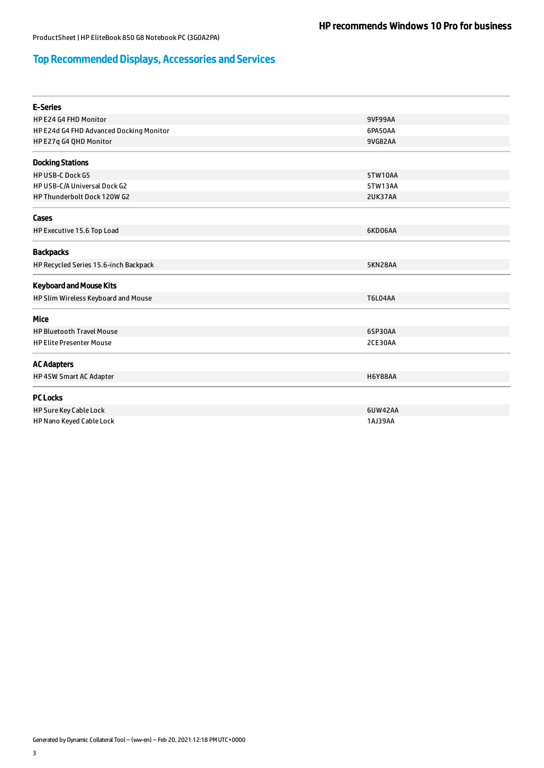# Top Recommended Displays, Accessories and Services

| <b>E-Series</b>                         |                |  |
|-----------------------------------------|----------------|--|
| HP E24 G4 FHD Monitor                   | <b>9VF99AA</b> |  |
| HP E24d G4 FHD Advanced Docking Monitor | 6PA50AA        |  |
| HP E27q G4 QHD Monitor                  | 9VG82AA        |  |
| <b>Docking Stations</b>                 |                |  |
| <b>HP USB-C Dock G5</b>                 | 5TW10AA        |  |
| HP USB-C/A Universal Dock G2            | 5TW13AA        |  |
| HP Thunderbolt Dock 120W G2             | 2UK37AA        |  |
| Cases                                   |                |  |
| HP Executive 15.6 Top Load              | 6KD06AA        |  |
| <b>Backpacks</b>                        |                |  |
| HP Recycled Series 15.6-inch Backpack   | 5KN28AA        |  |
| <b>Keyboard and Mouse Kits</b>          |                |  |
| HP Slim Wireless Keyboard and Mouse     | <b>T6L04AA</b> |  |
| Mice                                    |                |  |
| <b>HP Bluetooth Travel Mouse</b>        | 6SP30AA        |  |
| <b>HP Elite Presenter Mouse</b>         | 2CE30AA        |  |
| <b>AC Adapters</b>                      |                |  |
| HP 45W Smart AC Adapter                 | <b>H6Y88AA</b> |  |
| <b>PC Locks</b>                         |                |  |
| HP Sure Key Cable Lock                  | 6UW42AA        |  |
| HP Nano Keyed Cable Lock                | 1AJ39AA        |  |